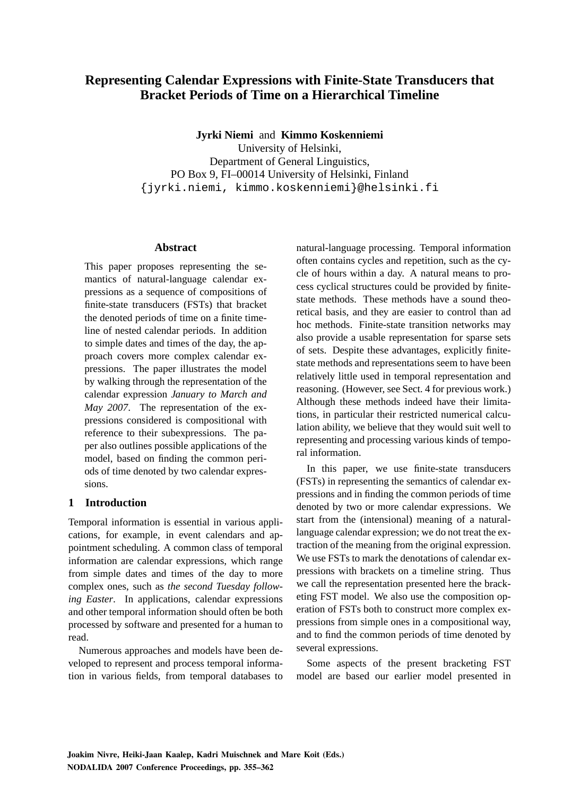# **Representing Calendar Expressions with Finite-State Transducers that Bracket Periods of Time on a Hierarchical Timeline**

**Jyrki Niemi** and **Kimmo Koskenniemi**

University of Helsinki, Department of General Linguistics, PO Box 9, FI–00014 University of Helsinki, Finland {jyrki.niemi, kimmo.koskenniemi}@helsinki.fi

#### **Abstract**

This paper proposes representing the semantics of natural-language calendar expressions as a sequence of compositions of finite-state transducers (FSTs) that bracket the denoted periods of time on a finite timeline of nested calendar periods. In addition to simple dates and times of the day, the approach covers more complex calendar expressions. The paper illustrates the model by walking through the representation of the calendar expression *January to March and May 2007*. The representation of the expressions considered is compositional with reference to their subexpressions. The paper also outlines possible applications of the model, based on finding the common periods of time denoted by two calendar expressions.

#### **1 Introduction**

Temporal information is essential in various applications, for example, in event calendars and appointment scheduling. A common class of temporal information are calendar expressions, which range from simple dates and times of the day to more complex ones, such as *the second Tuesday following Easter*. In applications, calendar expressions and other temporal information should often be both processed by software and presented for a human to read.

Numerous approaches and models have been developed to represent and process temporal information in various fields, from temporal databases to natural-language processing. Temporal information often contains cycles and repetition, such as the cycle of hours within a day. A natural means to process cyclical structures could be provided by finitestate methods. These methods have a sound theoretical basis, and they are easier to control than ad hoc methods. Finite-state transition networks may also provide a usable representation for sparse sets of sets. Despite these advantages, explicitly finitestate methods and representations seem to have been relatively little used in temporal representation and reasoning. (However, see Sect. 4 for previous work.) Although these methods indeed have their limitations, in particular their restricted numerical calculation ability, we believe that they would suit well to representing and processing various kinds of temporal information.

In this paper, we use finite-state transducers (FSTs) in representing the semantics of calendar expressions and in finding the common periods of time denoted by two or more calendar expressions. We start from the (intensional) meaning of a naturallanguage calendar expression; we do not treat the extraction of the meaning from the original expression. We use FSTs to mark the denotations of calendar expressions with brackets on a timeline string. Thus we call the representation presented here the bracketing FST model. We also use the composition operation of FSTs both to construct more complex expressions from simple ones in a compositional way, and to find the common periods of time denoted by several expressions.

Some aspects of the present bracketing FST model are based our earlier model presented in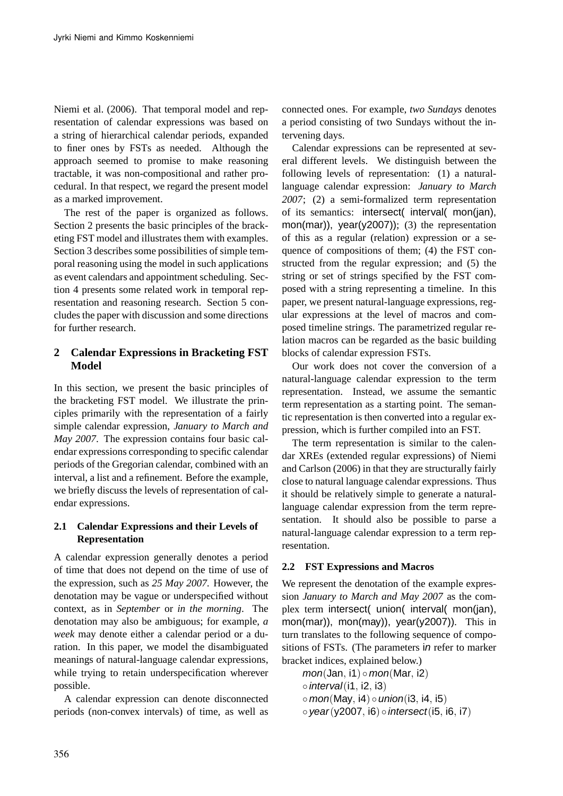Niemi et al. (2006). That temporal model and representation of calendar expressions was based on a string of hierarchical calendar periods, expanded to finer ones by FSTs as needed. Although the approach seemed to promise to make reasoning tractable, it was non-compositional and rather procedural. In that respect, we regard the present model as a marked improvement.

The rest of the paper is organized as follows. Section 2 presents the basic principles of the bracketing FST model and illustrates them with examples. Section 3 describes some possibilities of simple temporal reasoning using the model in such applications as event calendars and appointment scheduling. Section 4 presents some related work in temporal representation and reasoning research. Section 5 concludes the paper with discussion and some directions for further research.

# **2 Calendar Expressions in Bracketing FST Model**

In this section, we present the basic principles of the bracketing FST model. We illustrate the principles primarily with the representation of a fairly simple calendar expression, *January to March and May 2007*. The expression contains four basic calendar expressions corresponding to specific calendar periods of the Gregorian calendar, combined with an interval, a list and a refinement. Before the example, we briefly discuss the levels of representation of calendar expressions.

# **2.1 Calendar Expressions and their Levels of Representation**

A calendar expression generally denotes a period of time that does not depend on the time of use of the expression, such as *25 May 2007*. However, the denotation may be vague or underspecified without context, as in *September* or *in the morning*. The denotation may also be ambiguous; for example, *a week* may denote either a calendar period or a duration. In this paper, we model the disambiguated meanings of natural-language calendar expressions, while trying to retain underspecification wherever possible.

A calendar expression can denote disconnected periods (non-convex intervals) of time, as well as connected ones. For example, *two Sundays* denotes a period consisting of two Sundays without the intervening days.

Calendar expressions can be represented at several different levels. We distinguish between the following levels of representation: (1) a naturallanguage calendar expression: *January to March 2007*; (2) a semi-formalized term representation of its semantics: intersect( interval( mon(jan), mon(mar)), year(y2007)); (3) the representation of this as a regular (relation) expression or a sequence of compositions of them; (4) the FST constructed from the regular expression; and (5) the string or set of strings specified by the FST composed with a string representing a timeline. In this paper, we present natural-language expressions, regular expressions at the level of macros and composed timeline strings. The parametrized regular relation macros can be regarded as the basic building blocks of calendar expression FSTs.

Our work does not cover the conversion of a natural-language calendar expression to the term representation. Instead, we assume the semantic term representation as a starting point. The semantic representation is then converted into a regular expression, which is further compiled into an FST.

The term representation is similar to the calendar XREs (extended regular expressions) of Niemi and Carlson (2006) in that they are structurally fairly close to natural language calendar expressions. Thus it should be relatively simple to generate a naturallanguage calendar expression from the term representation. It should also be possible to parse a natural-language calendar expression to a term representation.

# **2.2 FST Expressions and Macros**

We represent the denotation of the example expression *January to March and May 2007* as the complex term intersect( union( interval( mon(jan), mon(mar)), mon(may)), year(y2007)). This in turn translates to the following sequence of compositions of FSTs. (The parameters in refer to marker bracket indices, explained below.)

 $mon(Jan, i1) \circ mon(Mar, i2)$  $\circ$  *interval*(i1, i2, i3)  $\circ$  mon(May, i4)  $\circ$  union(i3, i4, i5)  $\circ$  year(y2007, i6)  $\circ$  intersect(i5, i6, i7)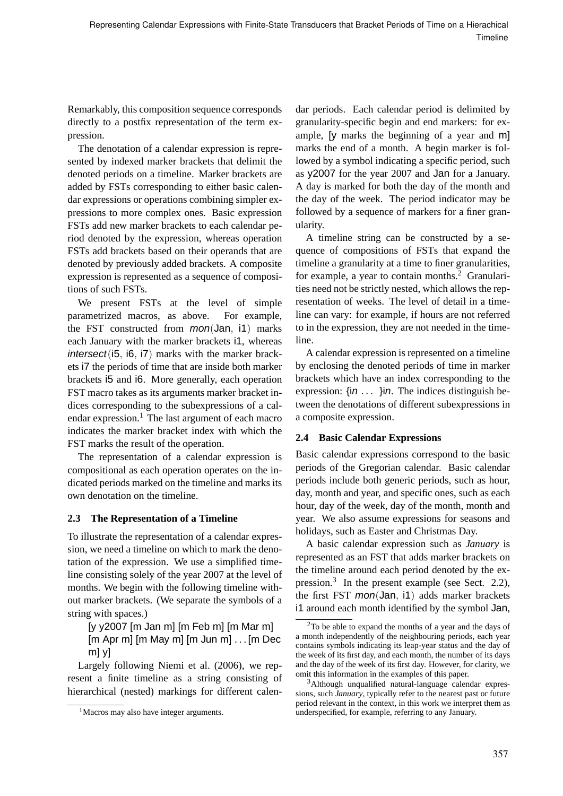Remarkably, this composition sequence corresponds directly to a postfix representation of the term expression.

The denotation of a calendar expression is represented by indexed marker brackets that delimit the denoted periods on a timeline. Marker brackets are added by FSTs corresponding to either basic calendar expressions or operations combining simpler expressions to more complex ones. Basic expression FSTs add new marker brackets to each calendar period denoted by the expression, whereas operation FSTs add brackets based on their operands that are denoted by previously added brackets. A composite expression is represented as a sequence of compositions of such FSTs.

We present FSTs at the level of simple parametrized macros, as above. For example, the FST constructed from mon(Jan, i1) marks each January with the marker brackets i1, whereas intersect(i5, i6, i7) marks with the marker brackets i7 the periods of time that are inside both marker brackets i5 and i6. More generally, each operation FST macro takes as its arguments marker bracket indices corresponding to the subexpressions of a calendar expression. $<sup>1</sup>$  The last argument of each macro</sup> indicates the marker bracket index with which the FST marks the result of the operation.

The representation of a calendar expression is compositional as each operation operates on the indicated periods marked on the timeline and marks its own denotation on the timeline.

# **2.3 The Representation of a Timeline**

To illustrate the representation of a calendar expression, we need a timeline on which to mark the denotation of the expression. We use a simplified timeline consisting solely of the year 2007 at the level of months. We begin with the following timeline without marker brackets. (We separate the symbols of a string with spaces.)

[y y2007 [m Jan m] [m Feb m] [m Mar m] [m Apr m] [m May m] [m Jun m] . . . [m Dec m] y]

Largely following Niemi et al. (2006), we represent a finite timeline as a string consisting of hierarchical (nested) markings for different calen-

dar periods. Each calendar period is delimited by granularity-specific begin and end markers: for example, [y marks the beginning of a year and m] marks the end of a month. A begin marker is followed by a symbol indicating a specific period, such as y2007 for the year 2007 and Jan for a January. A day is marked for both the day of the month and the day of the week. The period indicator may be followed by a sequence of markers for a finer granularity.

A timeline string can be constructed by a sequence of compositions of FSTs that expand the timeline a granularity at a time to finer granularities, for example, a year to contain months.<sup>2</sup> Granularities need not be strictly nested, which allows the representation of weeks. The level of detail in a timeline can vary: for example, if hours are not referred to in the expression, they are not needed in the timeline.

A calendar expression is represented on a timeline by enclosing the denoted periods of time in marker brackets which have an index corresponding to the expression:  $\{in \ldots\}$ in. The indices distinguish between the denotations of different subexpressions in a composite expression.

# **2.4 Basic Calendar Expressions**

Basic calendar expressions correspond to the basic periods of the Gregorian calendar. Basic calendar periods include both generic periods, such as hour, day, month and year, and specific ones, such as each hour, day of the week, day of the month, month and year. We also assume expressions for seasons and holidays, such as Easter and Christmas Day.

A basic calendar expression such as *January* is represented as an FST that adds marker brackets on the timeline around each period denoted by the expression.<sup>3</sup> In the present example (see Sect. 2.2), the first FST mon(Jan, i1) adds marker brackets i1 around each month identified by the symbol Jan,

<sup>&</sup>lt;sup>1</sup>Macros may also have integer arguments.

<sup>2</sup>To be able to expand the months of a year and the days of a month independently of the neighbouring periods, each year contains symbols indicating its leap-year status and the day of the week of its first day, and each month, the number of its days and the day of the week of its first day. However, for clarity, we omit this information in the examples of this paper.

<sup>3</sup>Although unqualified natural-language calendar expressions, such *January*, typically refer to the nearest past or future period relevant in the context, in this work we interpret them as underspecified, for example, referring to any January.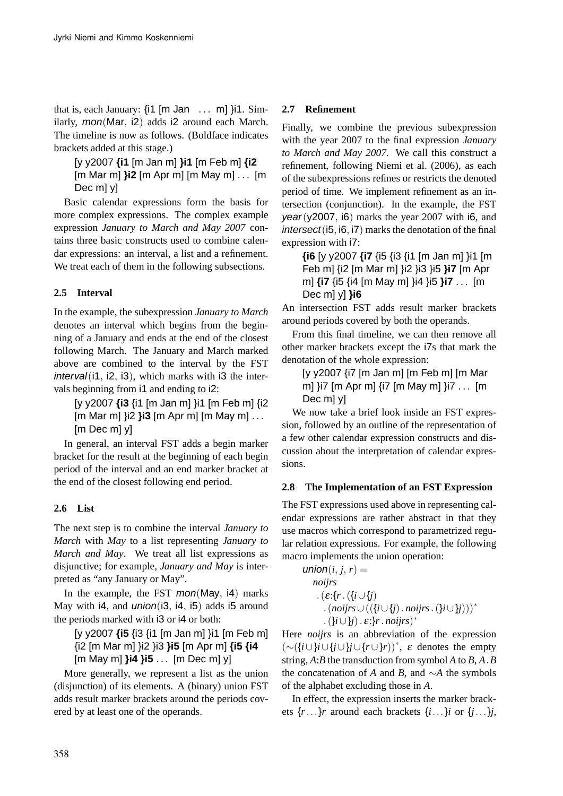that is, each January:  $\{i1 \mid m$  Jan ... m]  $\}i1$ . Similarly, mon(Mar, i2) adds i2 around each March. The timeline is now as follows. (Boldface indicates brackets added at this stage.)

[y y2007 **{i1** [m Jan m] **}i1** [m Feb m] **{i2** [m Mar m] **}i2** [m Apr m] [m May m] . . . [m Dec m] y]

Basic calendar expressions form the basis for more complex expressions. The complex example expression *January to March and May 2007* contains three basic constructs used to combine calendar expressions: an interval, a list and a refinement. We treat each of them in the following subsections.

# **2.5 Interval**

In the example, the subexpression *January to March* denotes an interval which begins from the beginning of a January and ends at the end of the closest following March. The January and March marked above are combined to the interval by the FST  $interval(i1, i2, i3)$ , which marks with  $i3$  the intervals beginning from  $\mathsf{I}$  and ending to  $\mathsf{I}$ .

[y y2007 **{i3** {i1 [m Jan m] }i1 [m Feb m] {i2 [m Mar m] }i2 **}i3** [m Apr m] [m May m] . . . [m Dec m] y]

In general, an interval FST adds a begin marker bracket for the result at the beginning of each begin period of the interval and an end marker bracket at the end of the closest following end period.

#### **2.6 List**

The next step is to combine the interval *January to March* with *May* to a list representing *January to March and May*. We treat all list expressions as disjunctive; for example, *January and May* is interpreted as "any January or May".

In the example, the FST  $mon(May, 4)$  marks May with i4, and *union*(i3, i4, i5) adds i5 around the periods marked with i3 or i4 or both:

[y y2007 **{i5** {i3 {i1 [m Jan m] }i1 [m Feb m] {i2 [m Mar m] }i2 }i3 **}i5** [m Apr m] **{i5 {i4** [m May m] **}i4 }i5** . . . [m Dec m] y]

More generally, we represent a list as the union (disjunction) of its elements. A (binary) union FST adds result marker brackets around the periods covered by at least one of the operands.

### **2.7 Refinement**

Finally, we combine the previous subexpression with the year 2007 to the final expression *January to March and May 2007*. We call this construct a refinement, following Niemi et al. (2006), as each of the subexpressions refines or restricts the denoted period of time. We implement refinement as an intersection (conjunction). In the example, the FST  $year(y2007, i6)$  marks the year 2007 with i6, and  $intersect(i5, i6, i7)$  marks the denotation of the final expression with i7:

**{i6** [y y2007 **{i7** {i5 {i3 {i1 [m Jan m] }i1 [m Feb m] {i2 [m Mar m] }i2 }i3 }i5 **}i7** [m Apr m] **{i7** {i5 {i4 [m May m] }i4 }i5 **}i7** . . . [m Dec m] y] **}i6**

An intersection FST adds result marker brackets around periods covered by both the operands.

From this final timeline, we can then remove all other marker brackets except the i7s that mark the denotation of the whole expression:

[y y2007 {i7 [m Jan m] [m Feb m] [m Mar m] }i7 [m Apr m] {i7 [m May m] }i7 . . . [m Dec m] y]

We now take a brief look inside an FST expression, followed by an outline of the representation of a few other calendar expression constructs and discussion about the interpretation of calendar expressions.

#### **2.8 The Implementation of an FST Expression**

The FST expressions used above in representing calendar expressions are rather abstract in that they use macros which correspond to parametrized regular relation expressions. For example, the following macro implements the union operation:

```
union(i, j, r) =noijrs
    . (\varepsilon:\{r\}.(\{i\cup\{j\}).(noijrs∪(({i∪{j). noijrs.(}i∪}j)))∗
      .(}i∪}j). ε:}r. noijrs)
∗
```
Here *noijrs* is an abbreviation of the expression (∼({*i*∪}*i*∪{*j*∪}*j*∪{*r*∪}*r*))<sup>∗</sup> , ε denotes the empty string, *A*:*B* the transduction from symbol *A* to *B*, *A*.*B* the concatenation of *A* and *B*, and ∼*A* the symbols of the alphabet excluding those in *A*.

In effect, the expression inserts the marker brackets  $\{r \ldots\}$ *r* around each brackets  $\{i \ldots\}$ *i* or  $\{j \ldots\}$ *j*,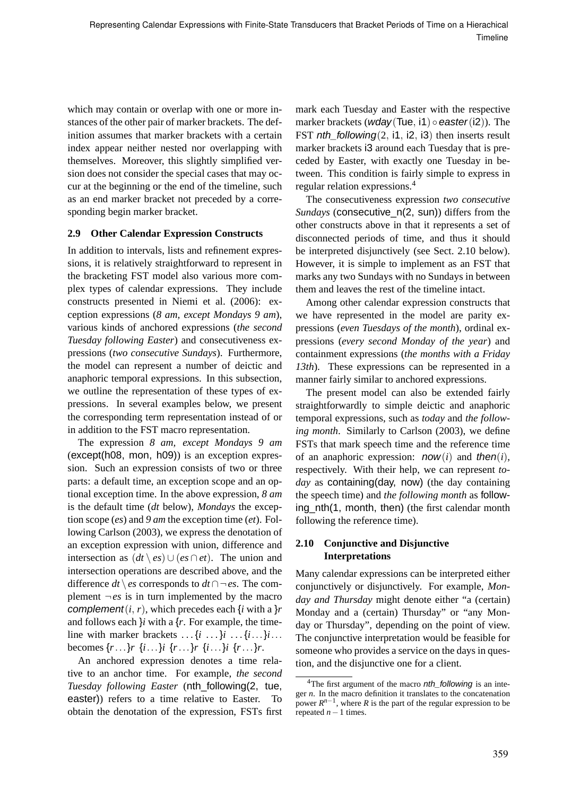which may contain or overlap with one or more instances of the other pair of marker brackets. The definition assumes that marker brackets with a certain index appear neither nested nor overlapping with themselves. Moreover, this slightly simplified version does not consider the special cases that may occur at the beginning or the end of the timeline, such as an end marker bracket not preceded by a corresponding begin marker bracket.

### **2.9 Other Calendar Expression Constructs**

In addition to intervals, lists and refinement expressions, it is relatively straightforward to represent in the bracketing FST model also various more complex types of calendar expressions. They include constructs presented in Niemi et al. (2006): exception expressions (*8 am, except Mondays 9 am*), various kinds of anchored expressions (*the second Tuesday following Easter*) and consecutiveness expressions (*two consecutive Sundays*). Furthermore, the model can represent a number of deictic and anaphoric temporal expressions. In this subsection, we outline the representation of these types of expressions. In several examples below, we present the corresponding term representation instead of or in addition to the FST macro representation.

The expression *8 am, except Mondays 9 am* (except(h08, mon, h09)) is an exception expression. Such an expression consists of two or three parts: a default time, an exception scope and an optional exception time. In the above expression, *8 am* is the default time (*dt* below), *Mondays* the exception scope (*es*) and *9 am* the exception time (*et*). Following Carlson (2003), we express the denotation of an exception expression with union, difference and intersection as  $(dt \mid es) \cup (es \cap et)$ . The union and intersection operations are described above, and the difference *dt* \ *es* corresponds to *dt* ∩ ¬ *es*. The complement  $\neg es$  is in turn implemented by the macro complement(*i*, *r*), which precedes each {*i* with a }*r* and follows each  $\}i$  with a  $\{r\}$ . For example, the timeline with marker brackets  $\dots$  {*i* $\dots$ }*i* $\dots$ {*i* $\dots$ }*i*... becomes {*r*...}*r* {*i*...}*i* {*r*...}*r* {*i*...}*i* {*r*...}*r*.

An anchored expression denotes a time relative to an anchor time. For example, *the second Tuesday following Easter* (nth\_following(2, tue, easter)) refers to a time relative to Easter. To obtain the denotation of the expression, FSTs first

mark each Tuesday and Easter with the respective marker brackets (wday(Tue, i1)  $\circ$  easter(i2)). The FST nth\_following $(2, i1, i2, i3)$  then inserts result marker brackets i3 around each Tuesday that is preceded by Easter, with exactly one Tuesday in between. This condition is fairly simple to express in regular relation expressions.<sup>4</sup>

The consecutiveness expression *two consecutive Sundays* (consecutive\_n(2, sun)) differs from the other constructs above in that it represents a set of disconnected periods of time, and thus it should be interpreted disjunctively (see Sect. 2.10 below). However, it is simple to implement as an FST that marks any two Sundays with no Sundays in between them and leaves the rest of the timeline intact.

Among other calendar expression constructs that we have represented in the model are parity expressions (*even Tuesdays of the month*), ordinal expressions (*every second Monday of the year*) and containment expressions (*the months with a Friday 13th*). These expressions can be represented in a manner fairly similar to anchored expressions.

The present model can also be extended fairly straightforwardly to simple deictic and anaphoric temporal expressions, such as *today* and *the following month*. Similarly to Carlson (2003), we define FSTs that mark speech time and the reference time of an anaphoric expression:  $now(i)$  and then( $i$ ), respectively. With their help, we can represent *today* as containing(day, now) (the day containing the speech time) and *the following month* as following\_nth(1, month, then) (the first calendar month following the reference time).

# **2.10 Conjunctive and Disjunctive Interpretations**

Many calendar expressions can be interpreted either conjunctively or disjunctively. For example, *Monday and Thursday* might denote either "a (certain) Monday and a (certain) Thursday" or "any Monday or Thursday", depending on the point of view. The conjunctive interpretation would be feasible for someone who provides a service on the days in question, and the disjunctive one for a client.

<sup>&</sup>lt;sup>4</sup>The first argument of the macro *nth\_following* is an integer *n*. In the macro definition it translates to the concatenation power  $R^{n-1}$ , where *R* is the part of the regular expression to be repeated  $n-1$  times.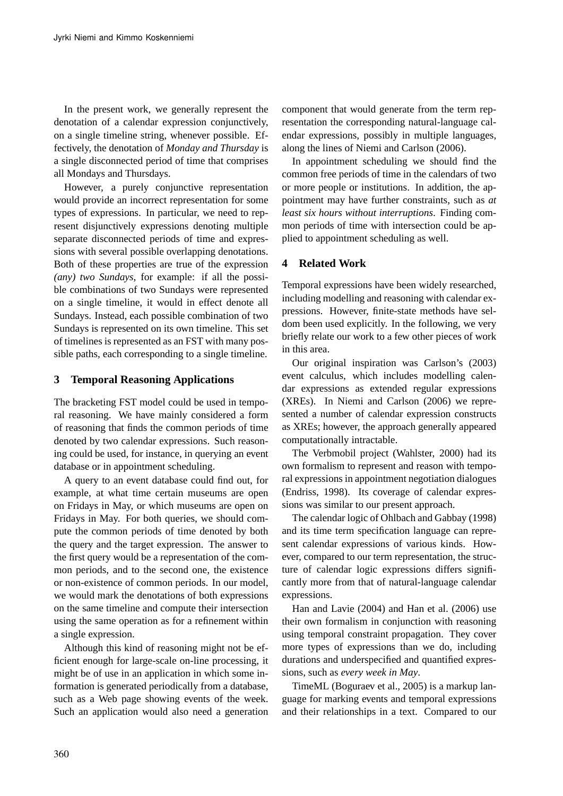In the present work, we generally represent the denotation of a calendar expression conjunctively, on a single timeline string, whenever possible. Effectively, the denotation of *Monday and Thursday* is a single disconnected period of time that comprises all Mondays and Thursdays.

However, a purely conjunctive representation would provide an incorrect representation for some types of expressions. In particular, we need to represent disjunctively expressions denoting multiple separate disconnected periods of time and expressions with several possible overlapping denotations. Both of these properties are true of the expression *(any) two Sundays*, for example: if all the possible combinations of two Sundays were represented on a single timeline, it would in effect denote all Sundays. Instead, each possible combination of two Sundays is represented on its own timeline. This set of timelines is represented as an FST with many possible paths, each corresponding to a single timeline.

### **3 Temporal Reasoning Applications**

The bracketing FST model could be used in temporal reasoning. We have mainly considered a form of reasoning that finds the common periods of time denoted by two calendar expressions. Such reasoning could be used, for instance, in querying an event database or in appointment scheduling.

A query to an event database could find out, for example, at what time certain museums are open on Fridays in May, or which museums are open on Fridays in May. For both queries, we should compute the common periods of time denoted by both the query and the target expression. The answer to the first query would be a representation of the common periods, and to the second one, the existence or non-existence of common periods. In our model, we would mark the denotations of both expressions on the same timeline and compute their intersection using the same operation as for a refinement within a single expression.

Although this kind of reasoning might not be efficient enough for large-scale on-line processing, it might be of use in an application in which some information is generated periodically from a database, such as a Web page showing events of the week. Such an application would also need a generation

component that would generate from the term representation the corresponding natural-language calendar expressions, possibly in multiple languages, along the lines of Niemi and Carlson (2006).

In appointment scheduling we should find the common free periods of time in the calendars of two or more people or institutions. In addition, the appointment may have further constraints, such as *at least six hours without interruptions*. Finding common periods of time with intersection could be applied to appointment scheduling as well.

# **4 Related Work**

Temporal expressions have been widely researched, including modelling and reasoning with calendar expressions. However, finite-state methods have seldom been used explicitly. In the following, we very briefly relate our work to a few other pieces of work in this area.

Our original inspiration was Carlson's (2003) event calculus, which includes modelling calendar expressions as extended regular expressions (XREs). In Niemi and Carlson (2006) we represented a number of calendar expression constructs as XREs; however, the approach generally appeared computationally intractable.

The Verbmobil project (Wahlster, 2000) had its own formalism to represent and reason with temporal expressions in appointment negotiation dialogues (Endriss, 1998). Its coverage of calendar expressions was similar to our present approach.

The calendar logic of Ohlbach and Gabbay (1998) and its time term specification language can represent calendar expressions of various kinds. However, compared to our term representation, the structure of calendar logic expressions differs significantly more from that of natural-language calendar expressions.

Han and Lavie (2004) and Han et al. (2006) use their own formalism in conjunction with reasoning using temporal constraint propagation. They cover more types of expressions than we do, including durations and underspecified and quantified expressions, such as *every week in May*.

TimeML (Boguraev et al., 2005) is a markup language for marking events and temporal expressions and their relationships in a text. Compared to our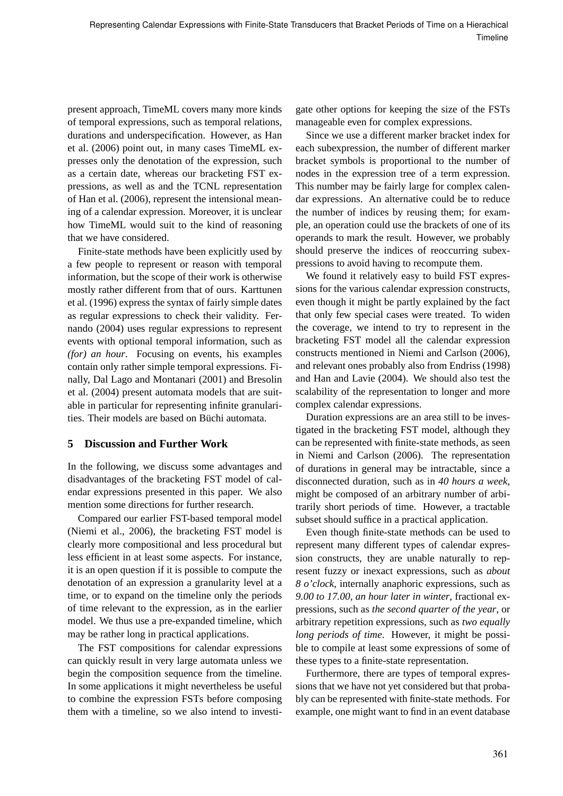present approach, TimeML covers many more kinds of temporal expressions, such as temporal relations, durations and underspecification. However, as Han et al. (2006) point out, in many cases TimeML expresses only the denotation of the expression, such as a certain date, whereas our bracketing FST expressions, as well as and the TCNL representation of Han et al. (2006), represent the intensional meaning of a calendar expression. Moreover, it is unclear how TimeML would suit to the kind of reasoning that we have considered.

Finite-state methods have been explicitly used by a few people to represent or reason with temporal information, but the scope of their work is otherwise mostly rather different from that of ours. Karttunen et al. (1996) express the syntax of fairly simple dates as regular expressions to check their validity. Fernando (2004) uses regular expressions to represent events with optional temporal information, such as *(for) an hour*. Focusing on events, his examples contain only rather simple temporal expressions. Finally, Dal Lago and Montanari (2001) and Bresolin et al. (2004) present automata models that are suitable in particular for representing infinite granularities. Their models are based on Büchi automata.

# **5 Discussion and Further Work**

In the following, we discuss some advantages and disadvantages of the bracketing FST model of calendar expressions presented in this paper. We also mention some directions for further research.

Compared our earlier FST-based temporal model (Niemi et al., 2006), the bracketing FST model is clearly more compositional and less procedural but less efficient in at least some aspects. For instance, it is an open question if it is possible to compute the denotation of an expression a granularity level at a time, or to expand on the timeline only the periods of time relevant to the expression, as in the earlier model. We thus use a pre-expanded timeline, which may be rather long in practical applications.

The FST compositions for calendar expressions can quickly result in very large automata unless we begin the composition sequence from the timeline. In some applications it might nevertheless be useful to combine the expression FSTs before composing them with a timeline, so we also intend to investigate other options for keeping the size of the FSTs manageable even for complex expressions.

Since we use a different marker bracket index for each subexpression, the number of different marker bracket symbols is proportional to the number of nodes in the expression tree of a term expression. This number may be fairly large for complex calendar expressions. An alternative could be to reduce the number of indices by reusing them; for example, an operation could use the brackets of one of its operands to mark the result. However, we probably should preserve the indices of reoccurring subexpressions to avoid having to recompute them.

We found it relatively easy to build FST expressions for the various calendar expression constructs, even though it might be partly explained by the fact that only few special cases were treated. To widen the coverage, we intend to try to represent in the bracketing FST model all the calendar expression constructs mentioned in Niemi and Carlson (2006), and relevant ones probably also from Endriss (1998) and Han and Lavie (2004). We should also test the scalability of the representation to longer and more complex calendar expressions.

Duration expressions are an area still to be investigated in the bracketing FST model, although they can be represented with finite-state methods, as seen in Niemi and Carlson (2006). The representation of durations in general may be intractable, since a disconnected duration, such as in *40 hours a week*, might be composed of an arbitrary number of arbitrarily short periods of time. However, a tractable subset should suffice in a practical application.

Even though finite-state methods can be used to represent many different types of calendar expression constructs, they are unable naturally to represent fuzzy or inexact expressions, such as *about 8 o'clock*, internally anaphoric expressions, such as *9.00 to 17.00, an hour later in winter*, fractional expressions, such as *the second quarter of the year*, or arbitrary repetition expressions, such as *two equally long periods of time*. However, it might be possible to compile at least some expressions of some of these types to a finite-state representation.

Furthermore, there are types of temporal expressions that we have not yet considered but that probably can be represented with finite-state methods. For example, one might want to find in an event database